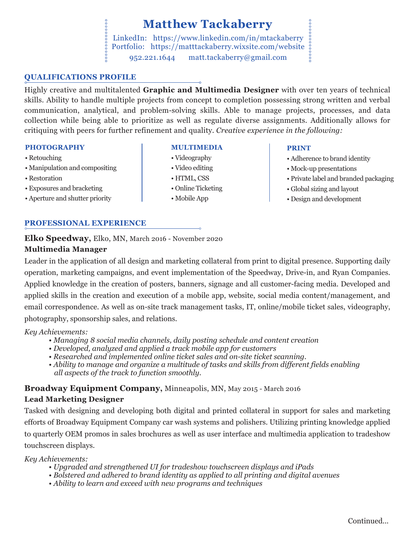## **Matthew Tackaberry**

0000000000000 LinkedIn: https://www.linkedin.com/in/mtackaberry Portfolio: https://matttackaberry.wixsite.com/website 952.221.1644 matt.tackaberry@gmail.com

### **QUALIFICATIONS PROFILE**

Highly creative and multitalented **Graphic and Multimedia Designer** with over ten years of technical skills. Ability to handle multiple projects from concept to completion possessing strong written and verbal communication, analytical, and problem-solving skills. Able to manage projects, processes, and data collection while being able to prioritize as well as regulate diverse assignments. Additionally allows for critiquing with peers for further refinement and quality. *Creative experience in the following:*

#### **PHOTOGRAPHY**

- Retouching
- Manipulation and compositing
- Restoration
- Exposures and bracketing
- Aperture and shutter priority

## **PROFESSIONAL EXPERIENCE**

**Elko Speedway,** Elko, MN, March 2016 - November 2020

## **Multimedia Manager**

Leader in the application of all design and marketing collateral from print to digital presence. Supporting daily operation, marketing campaigns, and event implementation of the Speedway, Drive-in, and Ryan Companies. Applied knowledge in the creation of posters, banners, signage and all customer-facing media. Developed and applied skills in the creation and execution of a mobile app, website, social media content/management, and email correspondence. As well as on-site track management tasks, IT, online/mobile ticket sales, videography, photography, sponsorship sales, and relations.

#### *Key Achievements:*

- *Managing 8 social media channels, daily posting schedule and content creation*
- *Developed, analyzed and applied a track mobile app for customers*
- *Researched and implemented online ticket sales and on-site ticket scanning.*
- *Ability to manage and organize a multitude of tasks and skills from different fields enabling all aspects of the track to function smoothly.*

## **Broadway Equipment Company,** Minneapolis, MN, May 2015 - March 2016 **Lead Marketing Designer**

Tasked with designing and developing both digital and printed collateral in support for sales and marketing efforts of Broadway Equipment Company car wash systems and polishers. Utilizing printing knowledge applied to quarterly OEM promos in sales brochures as well as user interface and multimedia application to tradeshow touchscreen displays.

#### *Key Achievements:*

- *Upgraded and strengthened UI for tradeshow touchscreen displays and iPads*
- *Bolstered and adhered to brand identity as applied to all printing and digital avenues*
- *Ability to learn and exceed with new programs and techniques*
- **MULTIMEDIA**
- Videography
- Video editing
- HTML, CSS
- Online Ticketing
- Mobile App

#### **PRINT**

- Adherence to brand identity
- Mock-up presentations
- Private label and branded packaging
- Global sizing and layout
- Design and development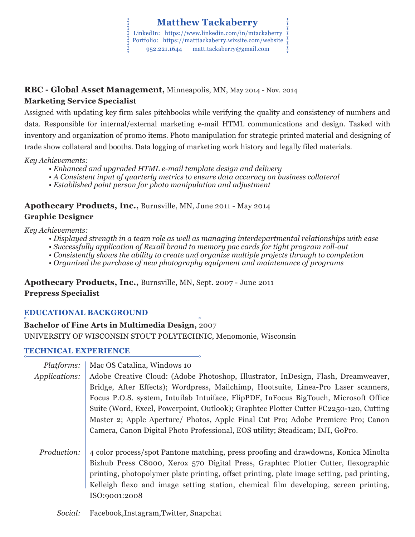# **RBC - Global Asset Management,** Minneapolis, MN, May 2014 - Nov. 2014

## **Marketing Service Specialist**

Assigned with updating key firm sales pitchbooks while verifying the quality and consistency of numbers and data. Responsible for internal/external marketing e-mail HTML communications and design. Tasked with inventory and organization of promo items. Photo manipulation for strategic printed material and designing of trade show collateral and booths. Data logging of marketing work history and legally filed materials.

*Key Achievements:*

- *Enhanced and upgraded HTML e-mail template design and delivery*
- *A Consistent input of quarterly metrics to ensure data accuracy on business collateral*
- *Established point person for photo manipulation and adjustment*

## **Apothecary Products, Inc.,** Burnsville, MN, June 2011 - May 2014 **Graphic Designer**

## *Key Achievements:*

- *Displayed strength in a team role as well as managing interdepartmental relationships with ease*
- *Successfully application of Rexall brand to memory pac cards for tight program roll-out*
- *Consistently shows the ability to create and organize multiple projects through to completion*
- *Organized the purchase of new photography equipment and maintenance of programs*

**Apothecary Products, Inc.,** Burnsville, MN, Sept. 2007 - June 2011 **Prepress Specialist**

## **EDUCATIONAL BACKGROUND**

## **Bachelor of Fine Arts in Multimedia Design,** 2007 UNIVERSITY OF WISCONSIN STOUT POLYTECHNIC, Menomonie, Wisconsin

## **TECHNICAL EXPERIENCE**

| Platforms:    | Mac OS Catalina, Windows 10                                                                |
|---------------|--------------------------------------------------------------------------------------------|
| Applications: | Adobe Creative Cloud: (Adobe Photoshop, Illustrator, InDesign, Flash, Dreamweaver,         |
|               | Bridge, After Effects); Wordpress, Mailchimp, Hootsuite, Linea-Pro Laser scanners,         |
|               | Focus P.O.S. system, Intuilab Intuiface, FlipPDF, InFocus BigTouch, Microsoft Office       |
|               | Suite (Word, Excel, Powerpoint, Outlook); Graphtec Plotter Cutter FC2250-120, Cutting      |
|               | Master 2; Apple Aperture/ Photos, Apple Final Cut Pro; Adobe Premiere Pro; Canon           |
|               | Camera, Canon Digital Photo Professional, EOS utility; Steadicam; DJI, GoPro.              |
|               |                                                                                            |
| Production:   | 4 color process/spot Pantone matching, press proofing and drawdowns, Konica Minolta        |
|               | Bizhub Press C8000, Xerox 570 Digital Press, Graphtec Plotter Cutter, flexographic         |
|               | printing, photopolymer plate printing, offset printing, plate image setting, pad printing, |
|               | Kelleigh flexo and image setting station, chemical film developing, screen printing,       |
|               | ISO:9001:2008                                                                              |
|               |                                                                                            |